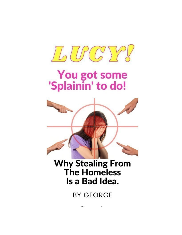

## **You got some** 'Splainin' to do!



## **Why Stealing From The Homeless** Is a Bad Idea.

**BY GEORGE**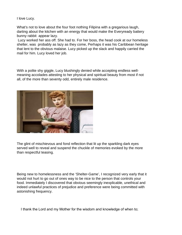I love Lucy.

What's not to love about the four foot nothing Filipina with a gregarious laugh, darting about the kitchen with an energy that would make the Everyready battery bunny rabbit appear lazy.

Lucy worked her ass off. She had to. For her boss, the head cook at our homeless shelter, was probably as lazy as they come, Perhaps it was his Caribbean heritage that lent to the obvious malaise. Lucy picked up the slack and happily carried the mail for him. Lucy loved her job.

With a polite shy giggle, Lucy blushingly denied while accepting endless wellmeaning accolades attesting to her physical and spiritual beauty from most if not all, of the more than seventy odd, entirely male residence.



The glint of mischievous and fond reflection that lit up the sparkling dark eyes served well to reveal and suspend the chuckle of memories evoked by the more than respectful teasing.

Being new to homelessness and the 'Shelter-Game', I recognized very early that it would not hurt to go out of ones way to be nice to the person that controls your food. Immediately I discovered that obvious seemingly inexplicable, unethical and indeed unlawful practices of prejudice and preference were being committed with astonishing frequency.

I thank the Lord and my Mother for the wisdom and knowledge of when to;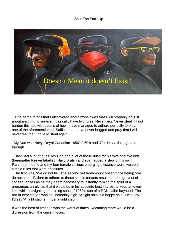## Shut The Fuck Up



 One of the things that I discovered about myself was that I will probably do just about anything to survive. I basically have two rules. Never beg. Never steal. I'll not burden this tale with details of how I have managed to adhere perfectly to only one of the aforementioned. Suffice that I have never begged and pray that I will never feel that I have to steal again.

 My Dad was Navy; Royal Canadian 1950's/ '60's and '70's Navy, through and through.

 They had a lot of rules. My Dad had a lot of those rules for his wife and five kids; (hereinafter forever labelled 'Navy Brats') and even added a slew of his own. Paramount to me and my four female siblings emerging existence were two very simple rules that were absolutes.

 The first was, 'We do not lie.' The second yet tantamount observance being; 'We do not steal.' Failure to adhere to these simple tenants resulted in the gravest of consequences as he may deem necessary to instantly remind the spirit of a gregarious unruly lad that it would be in his absolute best interest to keep an even keel whilst navigating the rolling seas of 1960's son of a RCN sailor boyhood. The bar of expectation was set incredibly high. 'A tight ship is a happy ship.' He'd say. I'd say 'A tight ship is … just a tight ship.'

It was the best of times; It was the worst of times. Recanting more would be a digression from the current focus.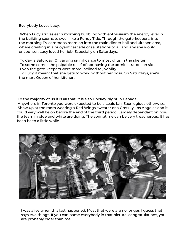Everybody Loves Lucy.

When Lucy arrives each morning bubbling with enthusiasm the energy level in the building seems to swell like a Fundy Tide. Through the gate-keepers, into the morning TV commons room on into the main dinner hall and kitchen area, where cresting in a buoyant cascade of salutations to all and any she would encounter. Lucy loved her job. Especially on Saturdays.

To day is Saturday. Of varying significance to most of us in the shelter. To some comes the palpable relief of not having the administrators on site. Even the gate-keepers were more inclined to joviality.

To Lucy it meant that she gets to work without her boss. On Saturdays, she's the man. Queen of her kitchen.

To the majority of us it is all that. It is also Hockey Night in Canada. Anywhere in Toronto you were expected to be a Leafs fan. Sacrilegious otherwise. Show up at the room wearing a Red Wings sweater or a Gretzky Los Angeles and it could very well be on before the end of the third period. Largely dependant on how the team in blue and white are doing. The springtime can be very treacherous. It has been been a little while.



I was alive when this last happened. Most that were are no longer. I guess that says two things. If you can name everybody in that picture, congratulations, you are probably older than me.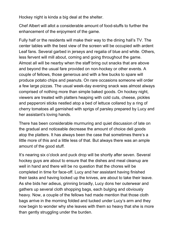Hockey night is kinda a big deal at the shelter.

Chef Albert will allot a considerable amount of food-stuffs to further the enhancement of the enjoyment of the game.

Fully half or the residents will make their way to the dining hall's TV. The center tables with the best view of the screen will be occupied with ardent Leaf fans. Several garbed in jerseys and regalia of blue and white. Others, less fervent will mill about, coming and going throughout the game. Almost all will be nearby when the staff bring out snacks that are above and beyond the usual fare provided on non-hockey or other events. A couple of fellows, those generous and with a few bucks to spare will produce potato chips and peanuts. On rare occasions someone will order a few large pizzas. The usual week-day evening snack was almost always comprised of nothing more than simple baked goods. On hockey night, viewers are treated with platters heaping with cold cuts, cheese, pickles and pepperoni sticks nestled atop a bed of lettuce collared by a ring of cherry tomatoes all garnished with sprigs of parsley prepared by Lucy and her assistant's loving hands.

There has been considerable murmuring and quiet discussion of late on the gradual and noticeable decrease the amount of choice deli goods atop the platters. It has always been the case that sometimes there's a little more of this and a little less of that. But always there was an ample amount of the good stuff.

It's nearing six o'clock and puck drop will be shortly after seven. Several hockey guys are about to ensure that the dishes and meal cleanup are well in hand and there will be no question that the chores will be completed in time for face-off. Lucy and her assistant having finished their tasks and having locked up the knives, are about to take their leave. As she bids her adieus, grinning broadly, Lucy dons her outerwear and gathers up several cloth shopping bags, each bulging and obviously heavy. Now, a couple of the fellows had made mention that those cloth bags arrive in the morning folded and tucked under Lucy's arm and they now begin to wonder why she leaves with them so heavy that she is more than gently struggling under the burden.